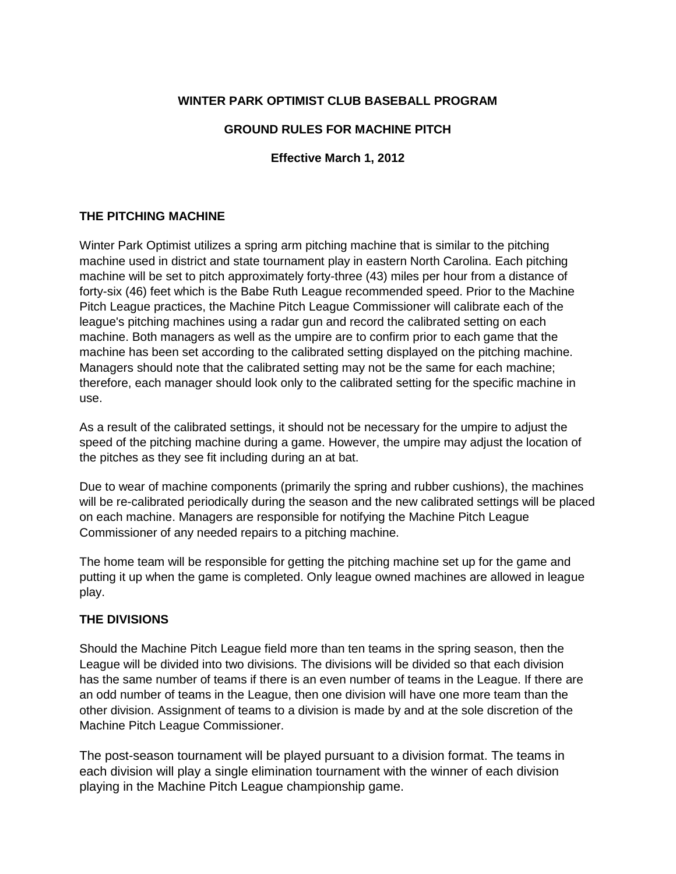## **WINTER PARK OPTIMIST CLUB BASEBALL PROGRAM**

### **GROUND RULES FOR MACHINE PITCH**

### **Effective March 1, 2012**

#### **THE PITCHING MACHINE**

Winter Park Optimist utilizes a spring arm pitching machine that is similar to the pitching machine used in district and state tournament play in eastern North Carolina. Each pitching machine will be set to pitch approximately forty-three (43) miles per hour from a distance of forty-six (46) feet which is the Babe Ruth League recommended speed. Prior to the Machine Pitch League practices, the Machine Pitch League Commissioner will calibrate each of the league's pitching machines using a radar gun and record the calibrated setting on each machine. Both managers as well as the umpire are to confirm prior to each game that the machine has been set according to the calibrated setting displayed on the pitching machine. Managers should note that the calibrated setting may not be the same for each machine; therefore, each manager should look only to the calibrated setting for the specific machine in use.

As a result of the calibrated settings, it should not be necessary for the umpire to adjust the speed of the pitching machine during a game. However, the umpire may adjust the location of the pitches as they see fit including during an at bat.

Due to wear of machine components (primarily the spring and rubber cushions), the machines will be re-calibrated periodically during the season and the new calibrated settings will be placed on each machine. Managers are responsible for notifying the Machine Pitch League Commissioner of any needed repairs to a pitching machine.

The home team will be responsible for getting the pitching machine set up for the game and putting it up when the game is completed. Only league owned machines are allowed in league play.

#### **THE DIVISIONS**

Should the Machine Pitch League field more than ten teams in the spring season, then the League will be divided into two divisions. The divisions will be divided so that each division has the same number of teams if there is an even number of teams in the League. If there are an odd number of teams in the League, then one division will have one more team than the other division. Assignment of teams to a division is made by and at the sole discretion of the Machine Pitch League Commissioner.

The post-season tournament will be played pursuant to a division format. The teams in each division will play a single elimination tournament with the winner of each division playing in the Machine Pitch League championship game.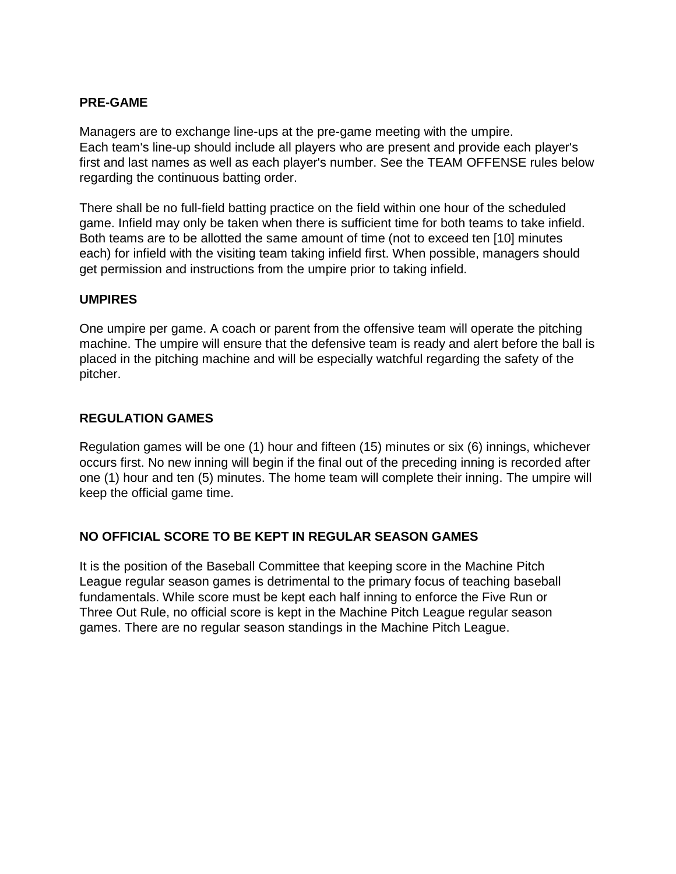### **PRE-GAME**

Managers are to exchange line-ups at the pre-game meeting with the umpire. Each team's line-up should include all players who are present and provide each player's first and last names as well as each player's number. See the TEAM OFFENSE rules below regarding the continuous batting order.

There shall be no full-field batting practice on the field within one hour of the scheduled game. Infield may only be taken when there is sufficient time for both teams to take infield. Both teams are to be allotted the same amount of time (not to exceed ten [10] minutes each) for infield with the visiting team taking infield first. When possible, managers should get permission and instructions from the umpire prior to taking infield.

#### **UMPIRES**

One umpire per game. A coach or parent from the offensive team will operate the pitching machine. The umpire will ensure that the defensive team is ready and alert before the ball is placed in the pitching machine and will be especially watchful regarding the safety of the pitcher.

### **REGULATION GAMES**

Regulation games will be one (1) hour and fifteen (15) minutes or six (6) innings, whichever occurs first. No new inning will begin if the final out of the preceding inning is recorded after one (1) hour and ten (5) minutes. The home team will complete their inning. The umpire will keep the official game time.

## **NO OFFICIAL SCORE TO BE KEPT IN REGULAR SEASON GAMES**

It is the position of the Baseball Committee that keeping score in the Machine Pitch League regular season games is detrimental to the primary focus of teaching baseball fundamentals. While score must be kept each half inning to enforce the Five Run or Three Out Rule, no official score is kept in the Machine Pitch League regular season games. There are no regular season standings in the Machine Pitch League.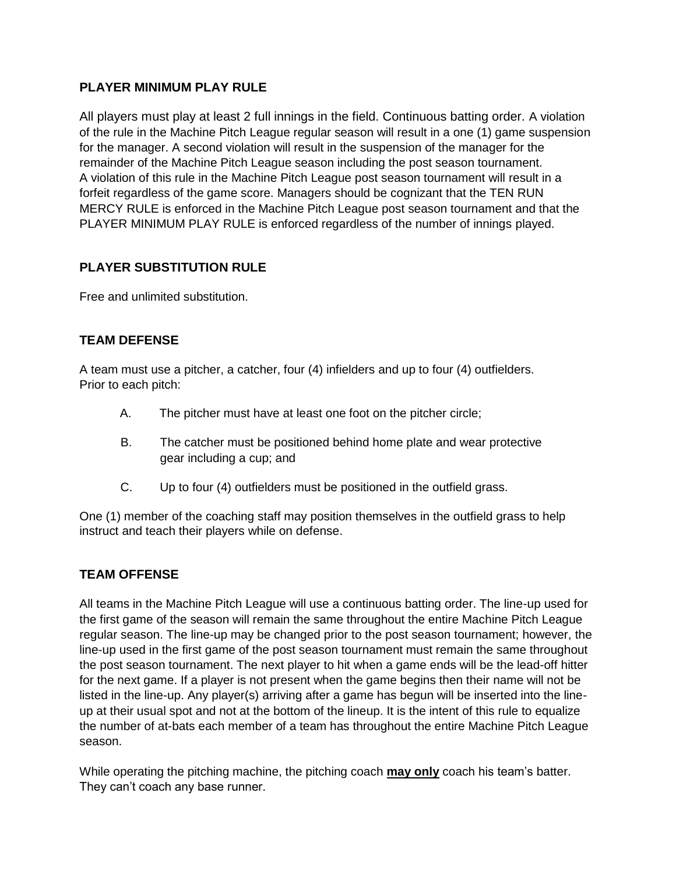## **PLAYER MINIMUM PLAY RULE**

All players must play at least 2 full innings in the field. Continuous batting order. A violation of the rule in the Machine Pitch League regular season will result in a one (1) game suspension for the manager. A second violation will result in the suspension of the manager for the remainder of the Machine Pitch League season including the post season tournament. A violation of this rule in the Machine Pitch League post season tournament will result in a forfeit regardless of the game score. Managers should be cognizant that the TEN RUN MERCY RULE is enforced in the Machine Pitch League post season tournament and that the PLAYER MINIMUM PLAY RULE is enforced regardless of the number of innings played.

# **PLAYER SUBSTITUTION RULE**

Free and unlimited substitution.

# **TEAM DEFENSE**

A team must use a pitcher, a catcher, four (4) infielders and up to four (4) outfielders. Prior to each pitch:

- A. The pitcher must have at least one foot on the pitcher circle;
- B. The catcher must be positioned behind home plate and wear protective gear including a cup; and
- C. Up to four (4) outfielders must be positioned in the outfield grass.

One (1) member of the coaching staff may position themselves in the outfield grass to help instruct and teach their players while on defense.

## **TEAM OFFENSE**

All teams in the Machine Pitch League will use a continuous batting order. The line-up used for the first game of the season will remain the same throughout the entire Machine Pitch League regular season. The line-up may be changed prior to the post season tournament; however, the line-up used in the first game of the post season tournament must remain the same throughout the post season tournament. The next player to hit when a game ends will be the lead-off hitter for the next game. If a player is not present when the game begins then their name will not be listed in the line-up. Any player(s) arriving after a game has begun will be inserted into the lineup at their usual spot and not at the bottom of the lineup. It is the intent of this rule to equalize the number of at-bats each member of a team has throughout the entire Machine Pitch League season.

While operating the pitching machine, the pitching coach **may only** coach his team's batter. They can't coach any base runner.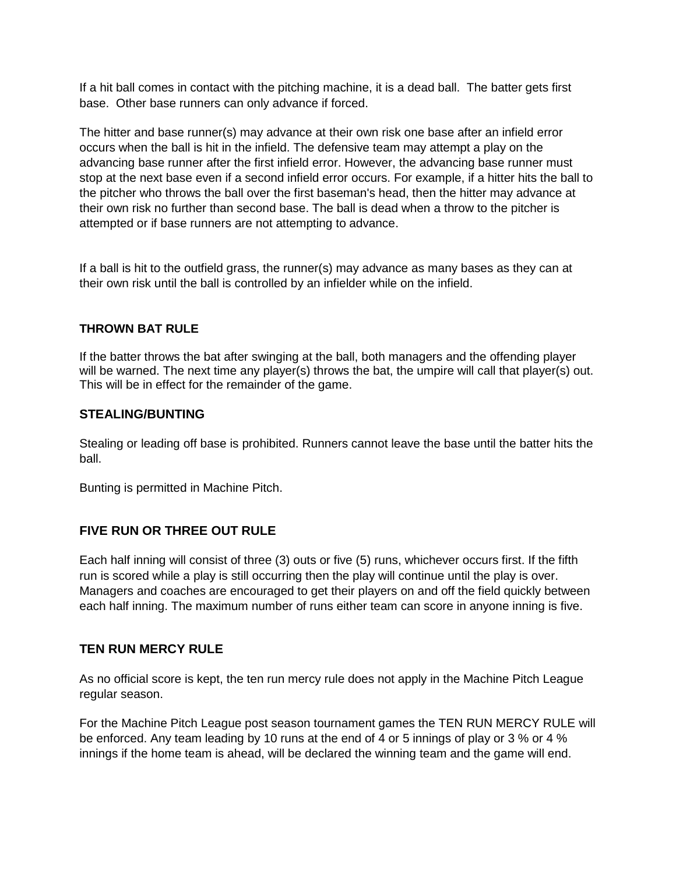If a hit ball comes in contact with the pitching machine, it is a dead ball. The batter gets first base. Other base runners can only advance if forced.

The hitter and base runner(s) may advance at their own risk one base after an infield error occurs when the ball is hit in the infield. The defensive team may attempt a play on the advancing base runner after the first infield error. However, the advancing base runner must stop at the next base even if a second infield error occurs. For example, if a hitter hits the ball to the pitcher who throws the ball over the first baseman's head, then the hitter may advance at their own risk no further than second base. The ball is dead when a throw to the pitcher is attempted or if base runners are not attempting to advance.

If a ball is hit to the outfield grass, the runner(s) may advance as many bases as they can at their own risk until the ball is controlled by an infielder while on the infield.

### **THROWN BAT RULE**

If the batter throws the bat after swinging at the ball, both managers and the offending player will be warned. The next time any player(s) throws the bat, the umpire will call that player(s) out. This will be in effect for the remainder of the game.

### **STEALING/BUNTING**

Stealing or leading off base is prohibited. Runners cannot leave the base until the batter hits the ball.

Bunting is permitted in Machine Pitch.

## **FIVE RUN OR THREE OUT RULE**

Each half inning will consist of three (3) outs or five (5) runs, whichever occurs first. If the fifth run is scored while a play is still occurring then the play will continue until the play is over. Managers and coaches are encouraged to get their players on and off the field quickly between each half inning. The maximum number of runs either team can score in anyone inning is five.

#### **TEN RUN MERCY RULE**

As no official score is kept, the ten run mercy rule does not apply in the Machine Pitch League regular season.

For the Machine Pitch League post season tournament games the TEN RUN MERCY RULE will be enforced. Any team leading by 10 runs at the end of 4 or 5 innings of play or 3 % or 4 % innings if the home team is ahead, will be declared the winning team and the game will end.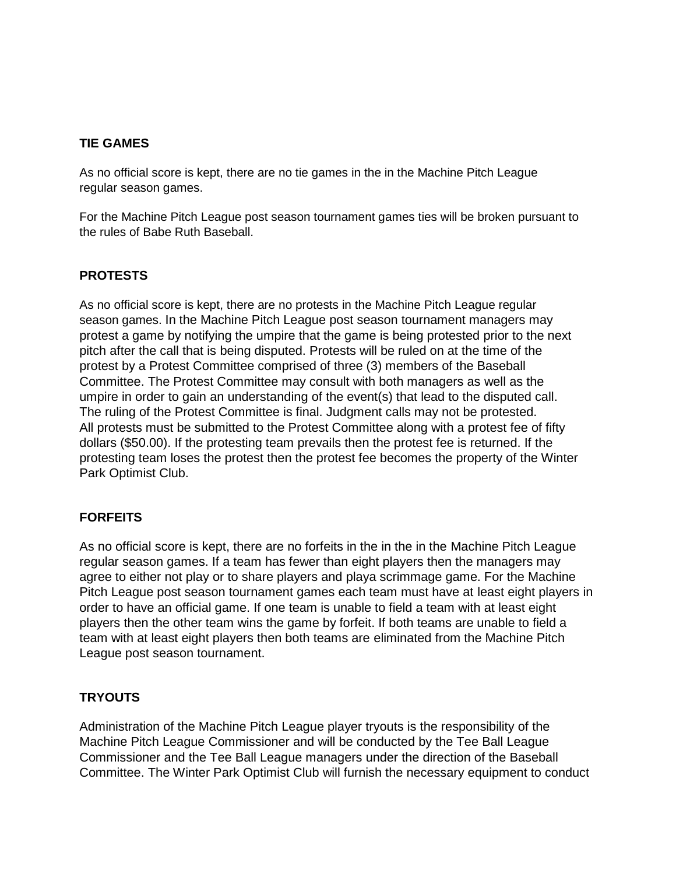## **TIE GAMES**

As no official score is kept, there are no tie games in the in the Machine Pitch League regular season games.

For the Machine Pitch League post season tournament games ties will be broken pursuant to the rules of Babe Ruth Baseball.

## **PROTESTS**

As no official score is kept, there are no protests in the Machine Pitch League regular season games. In the Machine Pitch League post season tournament managers may protest a game by notifying the umpire that the game is being protested prior to the next pitch after the call that is being disputed. Protests will be ruled on at the time of the protest by a Protest Committee comprised of three (3) members of the Baseball Committee. The Protest Committee may consult with both managers as well as the umpire in order to gain an understanding of the event(s) that lead to the disputed call. The ruling of the Protest Committee is final. Judgment calls may not be protested. All protests must be submitted to the Protest Committee along with a protest fee of fifty dollars (\$50.00). If the protesting team prevails then the protest fee is returned. If the protesting team loses the protest then the protest fee becomes the property of the Winter Park Optimist Club.

## **FORFEITS**

As no official score is kept, there are no forfeits in the in the in the Machine Pitch League regular season games. If a team has fewer than eight players then the managers may agree to either not play or to share players and playa scrimmage game. For the Machine Pitch League post season tournament games each team must have at least eight players in order to have an official game. If one team is unable to field a team with at least eight players then the other team wins the game by forfeit. If both teams are unable to field a team with at least eight players then both teams are eliminated from the Machine Pitch League post season tournament.

## **TRYOUTS**

Administration of the Machine Pitch League player tryouts is the responsibility of the Machine Pitch League Commissioner and will be conducted by the Tee Ball League Commissioner and the Tee Ball League managers under the direction of the Baseball Committee. The Winter Park Optimist Club will furnish the necessary equipment to conduct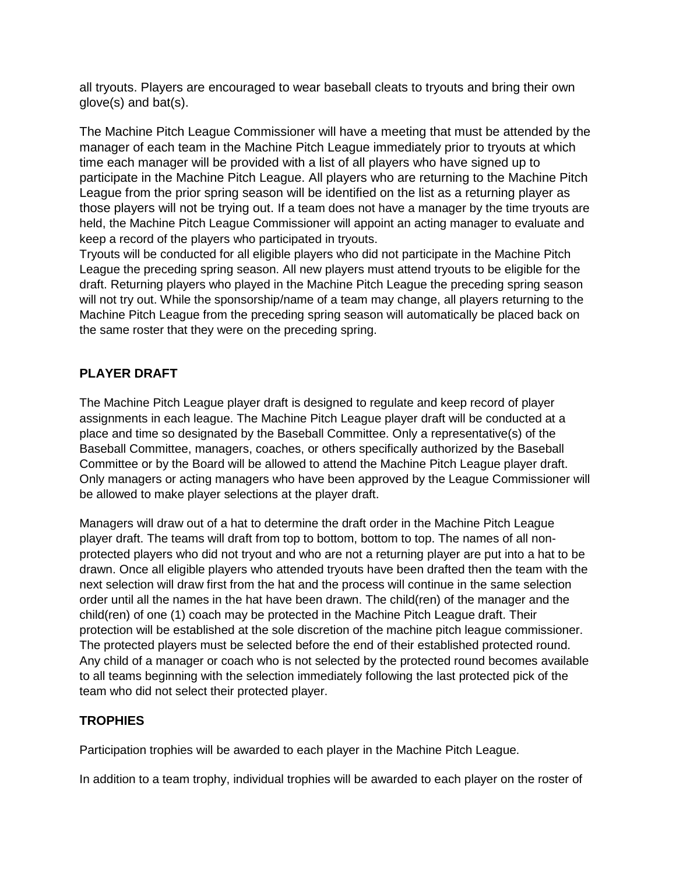all tryouts. Players are encouraged to wear baseball cleats to tryouts and bring their own glove(s) and bat(s).

The Machine Pitch League Commissioner will have a meeting that must be attended by the manager of each team in the Machine Pitch League immediately prior to tryouts at which time each manager will be provided with a list of all players who have signed up to participate in the Machine Pitch League. All players who are returning to the Machine Pitch League from the prior spring season will be identified on the list as a returning player as those players will not be trying out. If a team does not have a manager by the time tryouts are held, the Machine Pitch League Commissioner will appoint an acting manager to evaluate and keep a record of the players who participated in tryouts.

Tryouts will be conducted for all eligible players who did not participate in the Machine Pitch League the preceding spring season. All new players must attend tryouts to be eligible for the draft. Returning players who played in the Machine Pitch League the preceding spring season will not try out. While the sponsorship/name of a team may change, all players returning to the Machine Pitch League from the preceding spring season will automatically be placed back on the same roster that they were on the preceding spring.

# **PLAYER DRAFT**

The Machine Pitch League player draft is designed to regulate and keep record of player assignments in each league. The Machine Pitch League player draft will be conducted at a place and time so designated by the Baseball Committee. Only a representative(s) of the Baseball Committee, managers, coaches, or others specifically authorized by the Baseball Committee or by the Board will be allowed to attend the Machine Pitch League player draft. Only managers or acting managers who have been approved by the League Commissioner will be allowed to make player selections at the player draft.

Managers will draw out of a hat to determine the draft order in the Machine Pitch League player draft. The teams will draft from top to bottom, bottom to top. The names of all nonprotected players who did not tryout and who are not a returning player are put into a hat to be drawn. Once all eligible players who attended tryouts have been drafted then the team with the next selection will draw first from the hat and the process will continue in the same selection order until all the names in the hat have been drawn. The child(ren) of the manager and the child(ren) of one (1) coach may be protected in the Machine Pitch League draft. Their protection will be established at the sole discretion of the machine pitch league commissioner. The protected players must be selected before the end of their established protected round. Any child of a manager or coach who is not selected by the protected round becomes available to all teams beginning with the selection immediately following the last protected pick of the team who did not select their protected player.

## **TROPHIES**

Participation trophies will be awarded to each player in the Machine Pitch League.

In addition to a team trophy, individual trophies will be awarded to each player on the roster of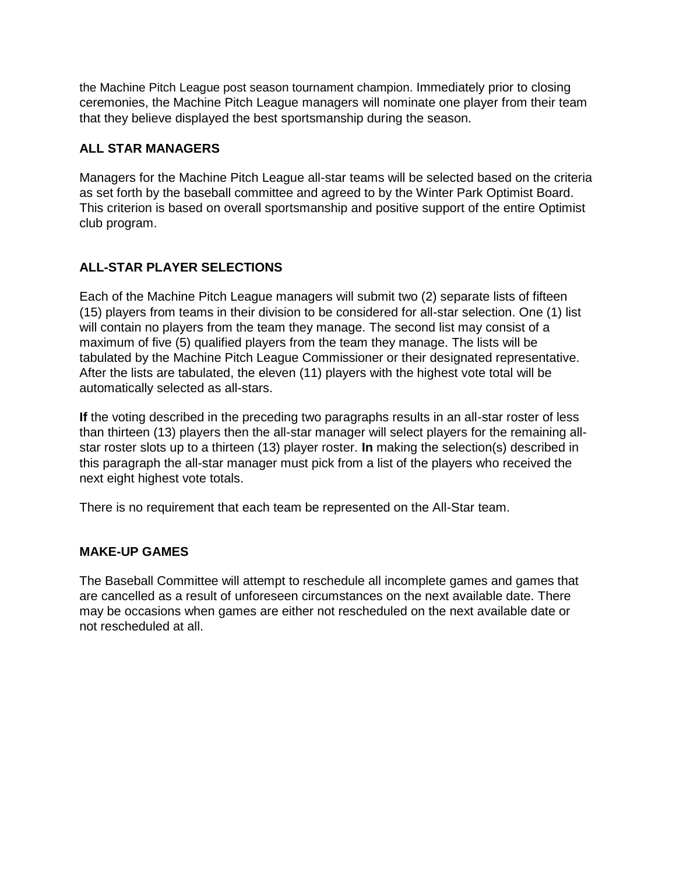the Machine Pitch League post season tournament champion. Immediately prior to closing ceremonies, the Machine Pitch League managers will nominate one player from their team that they believe displayed the best sportsmanship during the season.

# **ALL STAR MANAGERS**

Managers for the Machine Pitch League all-star teams will be selected based on the criteria as set forth by the baseball committee and agreed to by the Winter Park Optimist Board. This criterion is based on overall sportsmanship and positive support of the entire Optimist club program.

# **ALL-STAR PLAYER SELECTIONS**

Each of the Machine Pitch League managers will submit two (2) separate lists of fifteen (15) players from teams in their division to be considered for all-star selection. One (1) list will contain no players from the team they manage. The second list may consist of a maximum of five (5) qualified players from the team they manage. The lists will be tabulated by the Machine Pitch League Commissioner or their designated representative. After the lists are tabulated, the eleven (11) players with the highest vote total will be automatically selected as all-stars.

**If** the voting described in the preceding two paragraphs results in an all-star roster of less than thirteen (13) players then the all-star manager will select players for the remaining allstar roster slots up to a thirteen (13) player roster. **In** making the selection(s) described in this paragraph the all-star manager must pick from a list of the players who received the next eight highest vote totals.

There is no requirement that each team be represented on the All-Star team.

## **MAKE-UP GAMES**

The Baseball Committee will attempt to reschedule all incomplete games and games that are cancelled as a result of unforeseen circumstances on the next available date. There may be occasions when games are either not rescheduled on the next available date or not rescheduled at all.